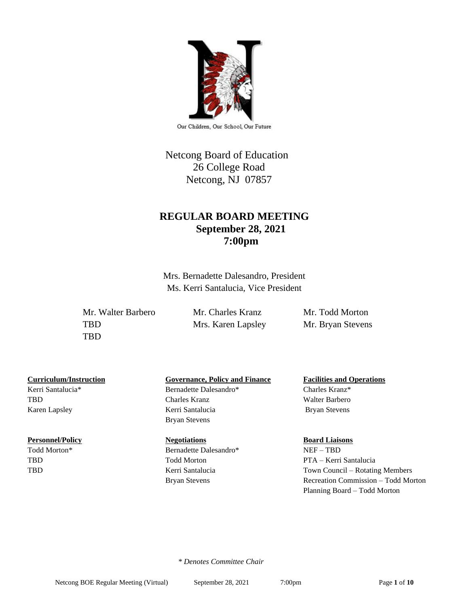

Our Children, Our School, Our Future

# Netcong Board of Education 26 College Road Netcong, NJ 07857

# **REGULAR BOARD MEETING September 28, 2021 7:00pm**

Mrs. Bernadette Dalesandro, President Ms. Kerri Santalucia, Vice President

Mr. Walter Barbero Mr. Charles Kranz Mr. Todd Morton TBD Mrs. Karen Lapsley Mr. Bryan Stevens TBD

Kerri Santalucia\* Bernadette Dalesandro\* Charles Kranz\*

### **Personnel/Policy Regotiations Board Liaisons Board Liaisons**

## **Curriculum/Instruction Governance, Policy and Finance Facilities and Operations**

TBD Charles Kranz Walter Barbero Karen Lapsley **Kerri Santalucia** Bryan Stevens Bryan Stevens

Todd Morton\* Bernadette Dalesandro\* NEF – TBD TBD Todd Morton PTA – Kerri Santalucia

TBD Kerri Santalucia Town Council – Rotating Members Bryan Stevens Recreation Commission – Todd Morton Planning Board – Todd Morton

 *\* Denotes Committee Chair*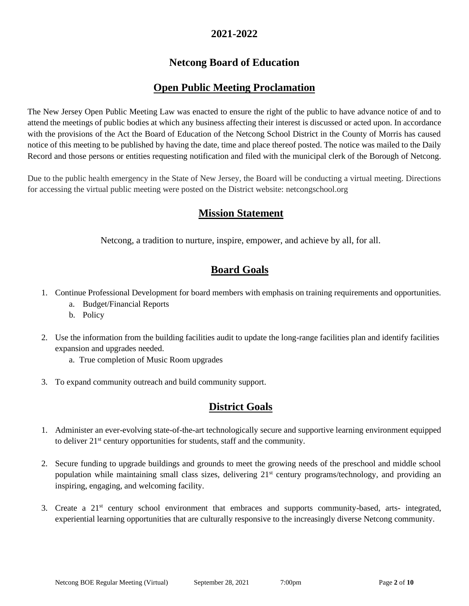# **2021-2022**

# **Netcong Board of Education**

# **Open Public Meeting Proclamation**

The New Jersey Open Public Meeting Law was enacted to ensure the right of the public to have advance notice of and to attend the meetings of public bodies at which any business affecting their interest is discussed or acted upon. In accordance with the provisions of the Act the Board of Education of the Netcong School District in the County of Morris has caused notice of this meeting to be published by having the date, time and place thereof posted. The notice was mailed to the Daily Record and those persons or entities requesting notification and filed with the municipal clerk of the Borough of Netcong.

Due to the public health emergency in the State of New Jersey, the Board will be conducting a virtual meeting. Directions for accessing the virtual public meeting were posted on the District website: netcongschool.org

# **Mission Statement**

Netcong, a tradition to nurture, inspire, empower, and achieve by all, for all.

# **Board Goals**

- 1. Continue Professional Development for board members with emphasis on training requirements and opportunities.
	- a. Budget/Financial Reports
	- b. Policy
- 2. Use the information from the building facilities audit to update the long-range facilities plan and identify facilities expansion and upgrades needed.
	- a. True completion of Music Room upgrades
- 3. To expand community outreach and build community support.

# **District Goals**

- 1. Administer an ever-evolving state-of-the-art technologically secure and supportive learning environment equipped to deliver 21st century opportunities for students, staff and the community.
- 2. Secure funding to upgrade buildings and grounds to meet the growing needs of the preschool and middle school population while maintaining small class sizes, delivering 21<sup>st</sup> century programs/technology, and providing an inspiring, engaging, and welcoming facility.
- 3. Create a 21st century school environment that embraces and supports community-based, arts- integrated, experiential learning opportunities that are culturally responsive to the increasingly diverse Netcong community.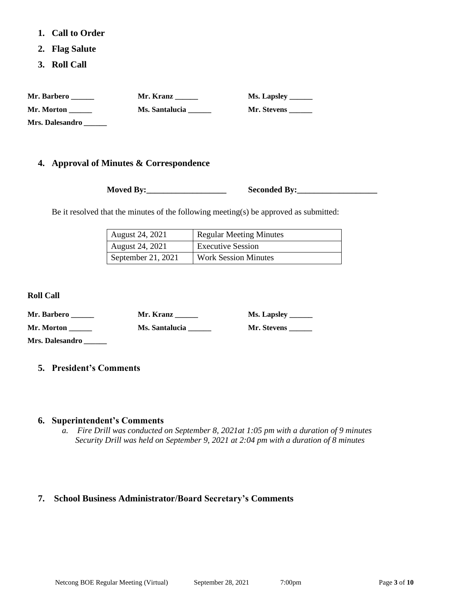- **1. Call to Order**
- **2. Flag Salute**
- **3. Roll Call**

| Mr. Barbero            | Mr. Kranz      | Ms. Lapsley _______ |
|------------------------|----------------|---------------------|
| Mr. Morton             | Ms. Santalucia | Mr. Stevens         |
| <b>Mrs. Dalesandro</b> |                |                     |

## **4. Approval of Minutes & Correspondence**

**Moved By:** Seconded By:

Be it resolved that the minutes of the following meeting(s) be approved as submitted:

| <b>August 24, 2021</b> | <b>Regular Meeting Minutes</b> |
|------------------------|--------------------------------|
| August 24, 2021        | <b>Executive Session</b>       |
| September 21, 2021     | <b>Work Session Minutes</b>    |

**Roll Call**

| Mr. Barbero     | Mr. Kranz      | Ms. Lapsley _______ |
|-----------------|----------------|---------------------|
| Mr. Morton      | Ms. Santalucia | Mr. Stevens         |
| Mrs. Dalesandro |                |                     |

## **5. President's Comments**

### **6. Superintendent's Comments**

*a. Fire Drill was conducted on September 8, 2021at 1:05 pm with a duration of 9 minutes Security Drill was held on September 9, 2021 at 2:04 pm with a duration of 8 minutes*

# **7. School Business Administrator/Board Secretary's Comments**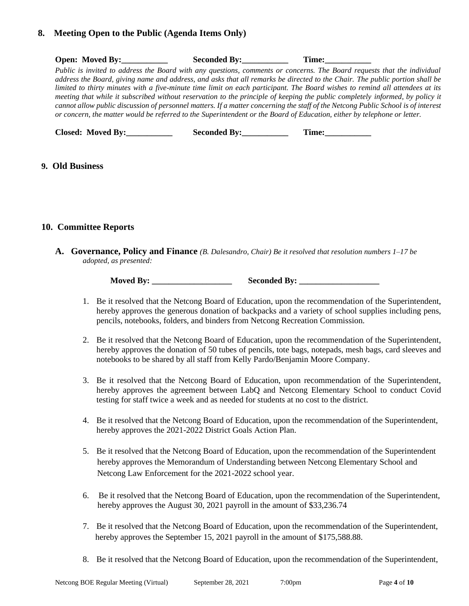## **8. Meeting Open to the Public (Agenda Items Only)**

| <b>Open:</b> Moved By:   | <b>Seconded By:</b> | Time:                                                                                                                                                                                                                                                                                                                                                                                                                                                                                                                                                                                                                                                                                                                                                                                    |  |
|--------------------------|---------------------|------------------------------------------------------------------------------------------------------------------------------------------------------------------------------------------------------------------------------------------------------------------------------------------------------------------------------------------------------------------------------------------------------------------------------------------------------------------------------------------------------------------------------------------------------------------------------------------------------------------------------------------------------------------------------------------------------------------------------------------------------------------------------------------|--|
|                          |                     | Public is invited to address the Board with any questions, comments or concerns. The Board requests that the individual<br>address the Board, giving name and address, and asks that all remarks be directed to the Chair. The public portion shall be<br>limited to thirty minutes with a five-minute time limit on each participant. The Board wishes to remind all attendees at its<br>meeting that while it subscribed without reservation to the principle of keeping the public completely informed, by policy it<br>cannot allow public discussion of personnel matters. If a matter concerning the staff of the Netcong Public School is of interest<br>or concern, the matter would be referred to the Superintendent or the Board of Education, either by telephone or letter. |  |
| <b>Closed: Moved By:</b> | <b>Seconded By:</b> | Time:                                                                                                                                                                                                                                                                                                                                                                                                                                                                                                                                                                                                                                                                                                                                                                                    |  |

## **9. Old Business**

## **10. Committee Reports**

**A. Governance, Policy and Finance** *(B. Dalesandro, Chair) Be it resolved that resolution numbers 1–17 be adopted, as presented:*

**Moved By:** Seconded By:

- 1. Be it resolved that the Netcong Board of Education, upon the recommendation of the Superintendent, hereby approves the generous donation of backpacks and a variety of school supplies including pens, pencils, notebooks, folders, and binders from Netcong Recreation Commission.
- 2. Be it resolved that the Netcong Board of Education, upon the recommendation of the Superintendent, hereby approves the donation of 50 tubes of pencils, tote bags, notepads, mesh bags, card sleeves and notebooks to be shared by all staff from Kelly Pardo/Benjamin Moore Company.
- 3. Be it resolved that the Netcong Board of Education, upon recommendation of the Superintendent, hereby approves the agreement between LabQ and Netcong Elementary School to conduct Covid testing for staff twice a week and as needed for students at no cost to the district.
- 4. Be it resolved that the Netcong Board of Education, upon the recommendation of the Superintendent, hereby approves the 2021-2022 District Goals Action Plan.
- 5. Be it resolved that the Netcong Board of Education, upon the recommendation of the Superintendent hereby approves the Memorandum of Understanding between Netcong Elementary School and Netcong Law Enforcement for the 2021-2022 school year.
- 6. Be it resolved that the Netcong Board of Education, upon the recommendation of the Superintendent, hereby approves the August 30, 2021 payroll in the amount of \$33,236.74
- 7. Be it resolved that the Netcong Board of Education, upon the recommendation of the Superintendent, hereby approves the September 15, 2021 payroll in the amount of \$175,588.88.
- 8. Be it resolved that the Netcong Board of Education, upon the recommendation of the Superintendent,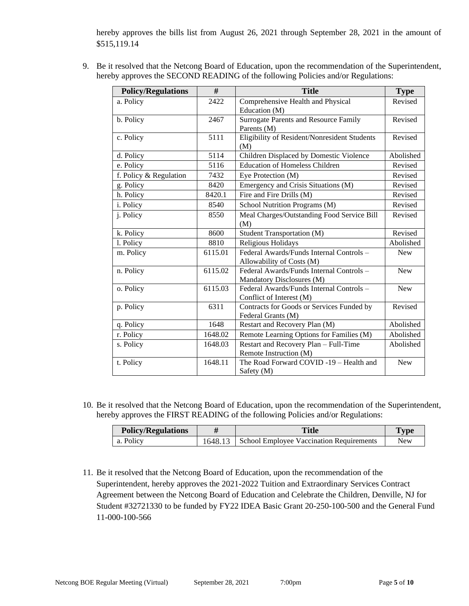hereby approves the bills list from August 26, 2021 through September 28, 2021 in the amount of \$515,119.14

9. Be it resolved that the Netcong Board of Education, upon the recommendation of the Superintendent, hereby approves the SECOND READING of the following Policies and/or Regulations:

| <b>Policy/Regulations</b> | #       | <b>Title</b>                                                          | <b>Type</b> |
|---------------------------|---------|-----------------------------------------------------------------------|-------------|
| a. Policy                 | 2422    | Comprehensive Health and Physical<br>Education (M)                    | Revised     |
| b. Policy                 | 2467    | Surrogate Parents and Resource Family<br>Parents (M)                  | Revised     |
| c. Policy                 | 5111    | Eligibility of Resident/Nonresident Students<br>(M)                   | Revised     |
| d. Policy                 | 5114    | Children Displaced by Domestic Violence                               | Abolished   |
| e. Policy                 | 5116    | <b>Education of Homeless Children</b>                                 | Revised     |
| f. Policy & Regulation    | 7432    | Eye Protection (M)                                                    | Revised     |
| g. Policy                 | 8420    | Emergency and Crisis Situations (M)                                   | Revised     |
| h. Policy                 | 8420.1  | Fire and Fire Drills (M)                                              | Revised     |
| i. Policy                 | 8540    | School Nutrition Programs (M)                                         | Revised     |
| j. Policy                 | 8550    | Meal Charges/Outstanding Food Service Bill<br>(M)                     | Revised     |
| k. Policy                 | 8600    | Student Transportation (M)                                            | Revised     |
| l. Policy                 | 8810    | Religious Holidays                                                    | Abolished   |
| m. Policy                 | 6115.01 | Federal Awards/Funds Internal Controls -<br>Allowability of Costs (M) | <b>New</b>  |
| n. Policy                 | 6115.02 | Federal Awards/Funds Internal Controls -<br>Mandatory Disclosures (M) | <b>New</b>  |
| o. Policy                 | 6115.03 | Federal Awards/Funds Internal Controls -<br>Conflict of Interest (M)  | <b>New</b>  |
| p. Policy                 | 6311    | Contracts for Goods or Services Funded by<br>Federal Grants (M)       | Revised     |
| q. Policy                 | 1648    | Restart and Recovery Plan (M)                                         | Abolished   |
| r. Policy                 | 1648.02 | Remote Learning Options for Families (M)                              | Abolished   |
| s. Policy                 | 1648.03 | Restart and Recovery Plan - Full-Time<br>Remote Instruction (M)       | Abolished   |
| t. Policy                 | 1648.11 | The Road Forward COVID -19 - Health and<br>Safety (M)                 | <b>New</b>  |

10. Be it resolved that the Netcong Board of Education, upon the recommendation of the Superintendent, hereby approves the FIRST READING of the following Policies and/or Regulations:

| <b>Policy/Regulations</b> | Title                                            | <b>Type</b> |
|---------------------------|--------------------------------------------------|-------------|
| a. Policy                 | 1648.13 School Employee Vaccination Requirements | <b>New</b>  |

11. Be it resolved that the Netcong Board of Education, upon the recommendation of the Superintendent, hereby approves the 2021-2022 Tuition and Extraordinary Services Contract Agreement between the Netcong Board of Education and Celebrate the Children, Denville, NJ for Student #32721330 to be funded by FY22 IDEA Basic Grant 20-250-100-500 and the General Fund 11-000-100-566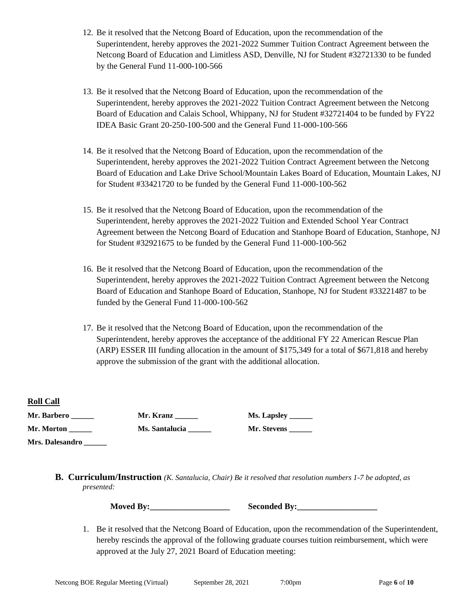- 12. Be it resolved that the Netcong Board of Education, upon the recommendation of the Superintendent, hereby approves the 2021-2022 Summer Tuition Contract Agreement between the Netcong Board of Education and Limitless ASD, Denville, NJ for Student #32721330 to be funded by the General Fund 11-000-100-566
- 13. Be it resolved that the Netcong Board of Education, upon the recommendation of the Superintendent, hereby approves the 2021-2022 Tuition Contract Agreement between the Netcong Board of Education and Calais School, Whippany, NJ for Student #32721404 to be funded by FY22 IDEA Basic Grant 20-250-100-500 and the General Fund 11-000-100-566
- 14. Be it resolved that the Netcong Board of Education, upon the recommendation of the Superintendent, hereby approves the 2021-2022 Tuition Contract Agreement between the Netcong Board of Education and Lake Drive School/Mountain Lakes Board of Education, Mountain Lakes, NJ for Student #33421720 to be funded by the General Fund 11-000-100-562
- 15. Be it resolved that the Netcong Board of Education, upon the recommendation of the Superintendent, hereby approves the 2021-2022 Tuition and Extended School Year Contract Agreement between the Netcong Board of Education and Stanhope Board of Education, Stanhope, NJ for Student #32921675 to be funded by the General Fund 11-000-100-562
- 16. Be it resolved that the Netcong Board of Education, upon the recommendation of the Superintendent, hereby approves the 2021-2022 Tuition Contract Agreement between the Netcong Board of Education and Stanhope Board of Education, Stanhope, NJ for Student #33221487 to be funded by the General Fund 11-000-100-562
- 17. Be it resolved that the Netcong Board of Education, upon the recommendation of the Superintendent, hereby approves the acceptance of the additional FY 22 American Rescue Plan (ARP) ESSER III funding allocation in the amount of \$175,349 for a total of \$671,818 and hereby approve the submission of the grant with the additional allocation.

**Roll Call**

| Mr. Barbero     | Mr. Kranz      |
|-----------------|----------------|
| Mr. Morton      | Ms. Santalucia |
| Mrs. Dalesandro |                |

**Ms. Lapsley** \_\_\_\_\_\_\_ **Mr. Stevens** 

**B. Curriculum/Instruction** *(K. Santalucia, Chair) Be it resolved that resolution numbers 1-7 be adopted, as presented:*

**Moved By:** Seconded By:

1. Be it resolved that the Netcong Board of Education, upon the recommendation of the Superintendent, hereby rescinds the approval of the following graduate courses tuition reimbursement, which were approved at the July 27, 2021 Board of Education meeting: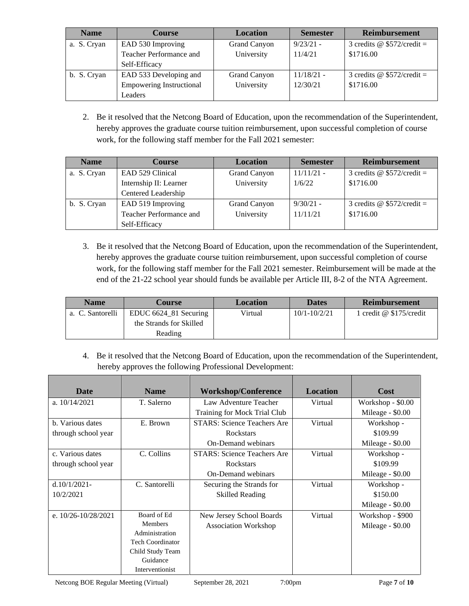| <b>Name</b> | <b>Course</b>                   | <b>Location</b> | <b>Semester</b> | <b>Reimbursement</b>              |
|-------------|---------------------------------|-----------------|-----------------|-----------------------------------|
| a. S. Cryan | EAD 530 Improving               | Grand Canyon    | $9/23/21 -$     | 3 credits $\omega$ \$572/credit = |
|             | Teacher Performance and         | University      | 11/4/21         | \$1716.00                         |
|             | Self-Efficacy                   |                 |                 |                                   |
| b. S. Cryan | EAD 533 Developing and          | Grand Canyon    | $11/18/21$ -    | 3 credits $\omega$ \$572/credit = |
|             | <b>Empowering Instructional</b> | University      | 12/30/21        | \$1716.00                         |
|             | Leaders                         |                 |                 |                                   |

2. Be it resolved that the Netcong Board of Education, upon the recommendation of the Superintendent, hereby approves the graduate course tuition reimbursement, upon successful completion of course work, for the following staff member for the Fall 2021 semester:

| <b>Name</b> | <b>Course</b>           | <b>Location</b> | <b>Semester</b> | <b>Reimbursement</b>              |
|-------------|-------------------------|-----------------|-----------------|-----------------------------------|
| a. S. Cryan | EAD 529 Clinical        | Grand Canyon    | $11/11/21$ -    | 3 credits $\omega$ \$572/credit = |
|             | Internship II: Learner  | University      | 1/6/22          | \$1716.00                         |
|             | Centered Leadership     |                 |                 |                                   |
| b. S. Cryan | EAD 519 Improving       | Grand Canyon    | $9/30/21 -$     | 3 credits $\omega$ \$572/credit = |
|             | Teacher Performance and | University      | 11/11/21        | \$1716.00                         |
|             | Self-Efficacy           |                 |                 |                                   |

3. Be it resolved that the Netcong Board of Education, upon the recommendation of the Superintendent, hereby approves the graduate course tuition reimbursement, upon successful completion of course work, for the following staff member for the Fall 2021 semester. Reimbursement will be made at the end of the 21-22 school year should funds be available per Article III, 8-2 of the NTA Agreement.

| <b>Name</b>      | Course                   | <b>Location</b> | <b>Dates</b>     | <b>Reimbursement</b>      |
|------------------|--------------------------|-----------------|------------------|---------------------------|
| a. C. Santorelli | EDUC $6624\_81$ Securing | Virtual         | $10/1 - 10/2/21$ | 1 credit @ $$175/c$ redit |
|                  | the Strands for Skilled  |                 |                  |                           |
|                  | Reading                  |                 |                  |                           |

4. Be it resolved that the Netcong Board of Education, upon the recommendation of the Superintendent, hereby approves the following Professional Development:

| <b>Date</b>             | <b>Name</b>      | <b>Workshop/Conference</b>         | <b>Location</b> | Cost              |
|-------------------------|------------------|------------------------------------|-----------------|-------------------|
| a. $10/14/2021$         | T. Salerno       | Law Adventure Teacher<br>Virtual   |                 | Workshop - \$0.00 |
|                         |                  | Training for Mock Trial Club       |                 | Mileage - \$0.00  |
| b. Various dates        | E. Brown         | <b>STARS: Science Teachers Are</b> | Virtual         | Workshop -        |
| through school year     |                  | Rockstars                          |                 | \$109.99          |
|                         |                  | <b>On-Demand webinars</b>          |                 | Mileage - \$0.00  |
| c. Various dates        | C. Collins       | <b>STARS: Science Teachers Are</b> | Virtual         | Workshop -        |
| through school year     |                  | Rockstars                          |                 | \$109.99          |
|                         |                  | On-Demand webinars                 |                 | Mileage - \$0.00  |
| $d.10/1/2021$ -         | C. Santorelli    | Securing the Strands for           | Virtual         | Workshop -        |
| 10/2/2021               |                  | <b>Skilled Reading</b>             |                 | \$150.00          |
|                         |                  |                                    |                 | Mileage - \$0.00  |
| e. $10/26 - 10/28/2021$ | Board of Ed      | New Jersey School Boards           | Virtual         | Workshop - \$900  |
|                         | <b>Members</b>   | <b>Association Workshop</b>        |                 | Mileage - \$0.00  |
|                         | Administration   |                                    |                 |                   |
|                         | Tech Coordinator |                                    |                 |                   |
|                         | Child Study Team |                                    |                 |                   |
|                         | Guidance         |                                    |                 |                   |
|                         | Interventionist  |                                    |                 |                   |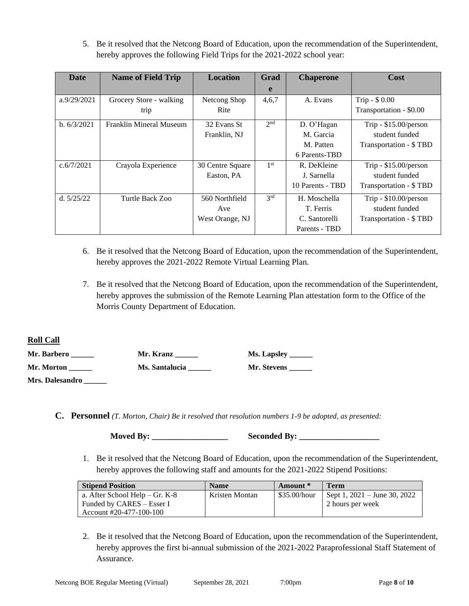5. Be it resolved that the Netcong Board of Education, upon the recommendation of the Superintendent, hereby approves the following Field Trips for the 2021-2022 school year:

| <b>Date</b>  | <b>Name of Field Trip</b> | <b>Location</b>  | Grad            | <b>Chaperone</b> | Cost                    |
|--------------|---------------------------|------------------|-----------------|------------------|-------------------------|
|              |                           |                  | e               |                  |                         |
| a.9/29/2021  | Grocery Store - walking   | Netcong Shop     | 4,6,7           | A. Evans         | Trip - $$0.00$          |
|              | trip                      | Rite             |                 |                  | Transportation - \$0.00 |
| b. 6/3/2021  | Franklin Mineral Museum   | 32 Evans St      | 2 <sub>nd</sub> | D. O'Hagan       | Trip - $$15.00/person$  |
|              |                           | Franklin, NJ     |                 | M. Garcia        | student funded          |
|              |                           |                  |                 | M. Patten        | Transportation - \$TBD  |
|              |                           |                  |                 | 6 Parents-TBD    |                         |
| c.6/7/2021   | Crayola Experience        | 30 Centre Square | 1 <sup>st</sup> | R. DeKleine      | Trip - $$15.00/person$  |
|              |                           | Easton, PA       |                 | J. Sarnella      | student funded          |
|              |                           |                  |                 | 10 Parents - TBD | Transportation - \$TBD  |
| d. $5/25/22$ | Turtle Back Zoo           | 560 Northfield   | 3 <sup>rd</sup> | H. Moschella     | Trip - $$10.00/person$  |
|              |                           | Ave              |                 | T. Ferris        | student funded          |
|              |                           | West Orange, NJ  |                 | C. Santorelli    | Transportation - \$TBD  |
|              |                           |                  |                 | Parents - TBD    |                         |

- 6. Be it resolved that the Netcong Board of Education, upon the recommendation of the Superintendent, hereby approves the 2021-2022 Remote Virtual Learning Plan.
- 7. Be it resolved that the Netcong Board of Education, upon the recommendation of the Superintendent, hereby approves the submission of the Remote Learning Plan attestation form to the Office of the Morris County Department of Education.

**Roll Call**

| Mr. Barbero     | Mr. Kranz      | <b>Ms. Lapsley</b> |
|-----------------|----------------|--------------------|
| Mr. Morton      | Ms. Santalucia | Mr. Stevens        |
| Mrs. Dalesandro |                |                    |

**C. Personnel** *(T. Morton, Chair) Be it resolved that resolution numbers 1-9 be adopted, as presented:*

**Moved By: \_\_\_\_\_\_\_\_\_\_\_\_\_\_\_\_\_\_ Seconded By: \_\_\_\_\_\_\_\_\_\_\_\_\_\_\_\_\_\_\_**

1. Be it resolved that the Netcong Board of Education, upon the recommendation of the Superintendent, hereby approves the following staff and amounts for the 2021-2022 Stipend Positions:

| <b>Stipend Position</b>        | <b>Name</b>    | Amount *     | Term                             |
|--------------------------------|----------------|--------------|----------------------------------|
| a. After School Help – Gr. K-8 | Kristen Montan | \$35.00/hour | Sept 1, $2021 -$ June 30, $2022$ |
| Funded by CARES – Esser I      |                |              | 2 hours per week                 |
| Account $\#20-477-100-100$     |                |              |                                  |

2. Be it resolved that the Netcong Board of Education, upon the recommendation of the Superintendent, hereby approves the first bi-annual submission of the 2021-2022 Paraprofessional Staff Statement of Assurance.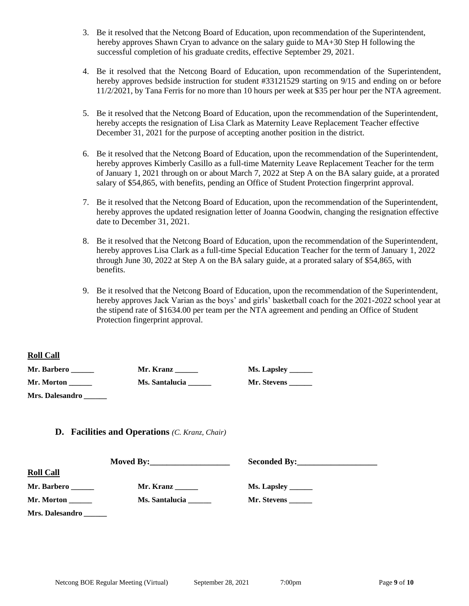- 3. Be it resolved that the Netcong Board of Education, upon recommendation of the Superintendent, hereby approves Shawn Cryan to advance on the salary guide to  $MA+30$  Step H following the successful completion of his graduate credits, effective September 29, 2021.
- 4. Be it resolved that the Netcong Board of Education, upon recommendation of the Superintendent, hereby approves bedside instruction for student #33121529 starting on 9/15 and ending on or before 11/2/2021, by Tana Ferris for no more than 10 hours per week at \$35 per hour per the NTA agreement.
- 5. Be it resolved that the Netcong Board of Education, upon the recommendation of the Superintendent, hereby accepts the resignation of Lisa Clark as Maternity Leave Replacement Teacher effective December 31, 2021 for the purpose of accepting another position in the district.
- 6. Be it resolved that the Netcong Board of Education, upon the recommendation of the Superintendent, hereby approves Kimberly Casillo as a full-time Maternity Leave Replacement Teacher for the term of January 1, 2021 through on or about March 7, 2022 at Step A on the BA salary guide, at a prorated salary of \$54,865, with benefits, pending an Office of Student Protection fingerprint approval.
- 7. Be it resolved that the Netcong Board of Education, upon the recommendation of the Superintendent, hereby approves the updated resignation letter of Joanna Goodwin, changing the resignation effective date to December 31, 2021.
- 8. Be it resolved that the Netcong Board of Education, upon the recommendation of the Superintendent, hereby approves Lisa Clark as a full-time Special Education Teacher for the term of January 1, 2022 through June 30, 2022 at Step A on the BA salary guide, at a prorated salary of \$54,865, with benefits.
- 9. Be it resolved that the Netcong Board of Education, upon the recommendation of the Superintendent, hereby approves Jack Varian as the boys' and girls' basketball coach for the 2021-2022 school year at the stipend rate of \$1634.00 per team per the NTA agreement and pending an Office of Student Protection fingerprint approval.

### **Roll Call**

| Mr. Barbero            | Mr. Kranz      | Ms. Lapsley        |
|------------------------|----------------|--------------------|
| <b>Mr. Morton</b>      | Ms. Santalucia | <b>Mr. Stevens</b> |
| <b>Mrs. Dalesandro</b> |                |                    |

**D. Facilities and Operations** *(C. Kranz, Chair)* 

| <b>Roll Call</b> |                |                     |  |  |
|------------------|----------------|---------------------|--|--|
| Mr. Barbero      | Mr. Kranz      |                     |  |  |
| Mr. Morton       | Ms. Santalucia | Mr. Stevens _______ |  |  |
| Mrs. Dalesandro  |                |                     |  |  |